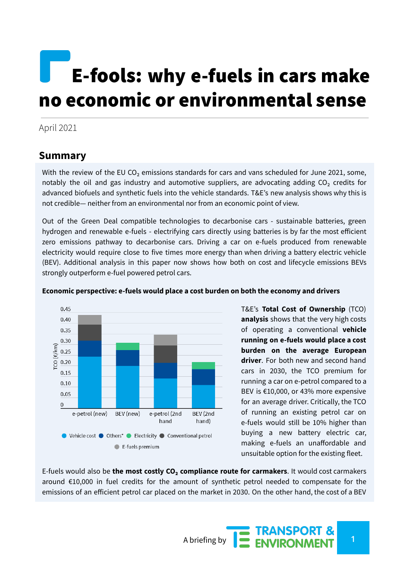# E-fools: why e-fuels in cars make no economic or environmental sense

#### April 2021

### **Summary**

With the review of the EU CO<sub>2</sub> emissions standards for cars and vans scheduled for June 2021, some, notably the oil and gas industry and automotive suppliers, are advocating adding  $CO<sub>2</sub>$  credits for advanced biofuels and synthetic fuels into the vehicle standards. T&E's new [analysis](https://www.transportenvironment.org/publications/why-adding-fuel-credits-vehicle-standards-bad-idea) shows why this is not credible— neither from an environmental nor from an economic point of view.

Out of the Green Deal compatible technologies to decarbonise cars - sustainable batteries, green hydrogen and renewable e-fuels - electrifying cars directly using batteries is by far the most efficient zero emissions pathway to decarbonise cars. Driving a car on e-fuels produced from renewable electricity would require close to five times more energy than when driving a battery electric vehicle (BEV). Additional analysis in this paper now shows how both on cost and lifecycle emissions BEVs strongly outperform e-fuel powered petrol cars.



#### **Economic perspective: e-fuels would place a cost burden on both the economy and drivers**

T&E's **Total Cost of Ownership** (TCO) **analysis** shows that the very high costs of operating a conventional **vehicle running on e-fuels would place a cost burden on the average European driver**. For both new and second hand cars in 2030, the TCO premium for running a car on e-petrol compared to a BEV is €10,000, or 43% more expensive for an average driver. Critically, the TCO of running an existing petrol car on e-fuels would still be 10% higher than buying a new battery electric car, making e-fuels an unaffordable and unsuitable option for the existing fleet.

E-fuels would also be **the most costly CO₂ compliance route for carmakers**. It would cost carmakers around €10,000 in fuel credits for the amount of synthetic petrol needed to compensate for the emissions of an efficient petrol car placed on the market in 2030. On the other hand, the cost of a BEV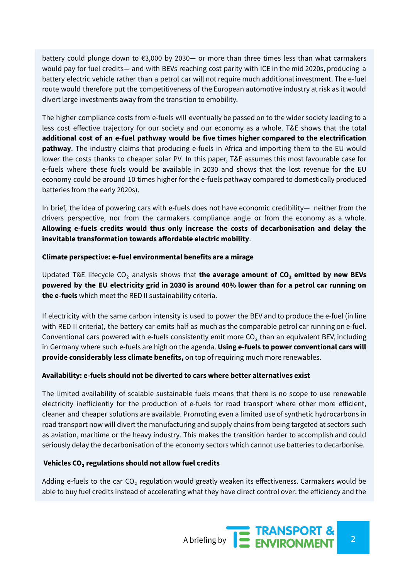battery could plunge down to €3,000 by 2030**—** or more than three times less than what carmakers would pay for fuel credits**—** and with BEVs reaching cost parity with ICE in the mid 2020s, producing a battery electric vehicle rather than a petrol car will not require much additional investment. The e-fuel route would therefore put the competitiveness of the European automotive industry at risk as it would divert large investments away from the transition to emobility.

The higher compliance costs from e-fuels will eventually be passed on to the wider society leading to a less cost effective trajectory for our society and our economy as a whole. T&E shows that the total **additional cost of an e-fuel pathway would be five times higher compared to the electrification pathway**. The industry claims that producing e-fuels in Africa and importing them to the EU would lower the costs thanks to cheaper solar PV. In this paper, T&E assumes this most favourable case for e-fuels where these fuels would be available in 2030 and shows that the lost revenue for the EU economy could be around 10 times higher for the e-fuels pathway compared to domestically produced batteries from the early 2020s).

In brief, the idea of powering cars with e-fuels does not have economic credibility— neither from the drivers perspective, nor from the carmakers compliance angle or from the economy as a whole. **Allowing e-fuels credits would thus only increase the costs of decarbonisation and delay the inevitable transformation towards affordable electric mobility**.

#### **Climate perspective: e-fuel environmental benefits are a mirage**

Updated T&E lifecycle CO₂ analysis shows that **the average amount of CO₂ emitted by new BEVs** powered by the EU electricity grid in 2030 is around 40% lower than for a petrol car running on **the e-fuels** which meet the RED II sustainability criteria.

If electricity with the same carbon intensity is used to power the BEV and to produce the e-fuel (in line with RED II criteria), the battery car emits half as much as the comparable petrol car running on e-fuel. Conventional cars powered with e-fuels consistently emit more  $CO<sub>2</sub>$  than an equivalent BEV, including in Germany where such e-fuels are high on the agenda. **Using e-fuels to power conventional cars will provide considerably less climate benefits,** on top of requiring much more renewables.

#### **Availability: e-fuels should not be diverted to cars where better alternatives exist**

The limited availability of scalable sustainable fuels means that there is no scope to use renewable electricity inefficiently for the production of e-fuels for road transport where other more efficient, cleaner and cheaper solutions are available. Promoting even a limited use of synthetic hydrocarbons in road transport now will divert the manufacturing and supply chains from being targeted at sectors such as aviation, maritime or the heavy industry. This makes the transition harder to accomplish and could seriously delay the decarbonisation of the economy sectors which cannot use batteries to decarbonise.

#### **Vehicles CO₂ regulations should not allow fuel credits**

Adding e-fuels to the car  $CO<sub>2</sub>$  regulation would greatly weaken its effectiveness. Carmakers would be able to buy fuel credits instead of accelerating what they have direct control over: the efficiency and the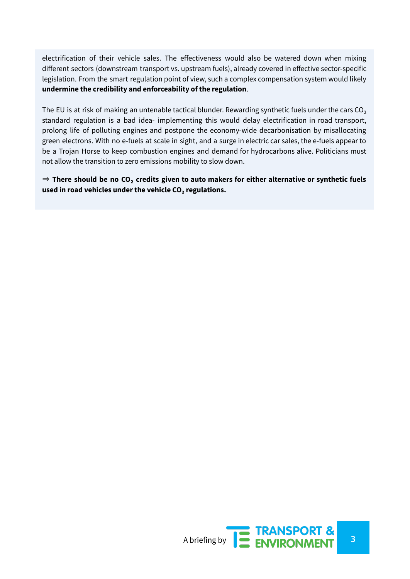electrification of their vehicle sales. The effectiveness would also be watered down when mixing different sectors (downstream transport vs. upstream fuels), already covered in effective sector-specific legislation. From the smart regulation point of view, such a complex compensation system would likely **undermine the credibility and enforceability of the regulation**.

The EU is at risk of making an untenable tactical blunder. Rewarding synthetic fuels under the cars CO<sub>2</sub> standard regulation is a bad idea- implementing this would delay electrification in road transport, prolong life of polluting engines and postpone the economy-wide decarbonisation by misallocating green electrons. With no e-fuels at scale in sight, and a surge in electric car sales, the e-fuels appear to be a Trojan Horse to keep combustion engines and demand for hydrocarbons alive. Politicians must not allow the transition to zero emissions mobility to slow down.

⇒ **There should be no CO₂ credits given to auto makers for either alternative or synthetic fuels used in road vehicles under the vehicle CO₂ regulations.**

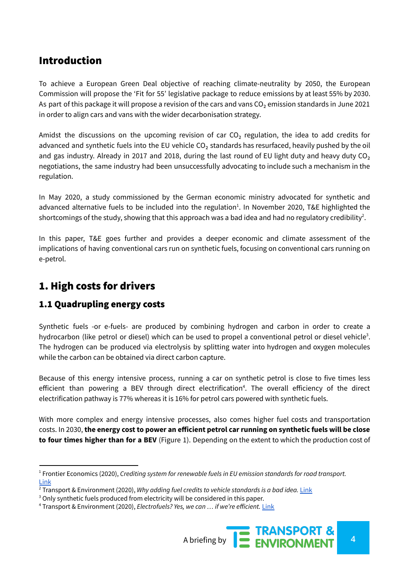# Introduction

To achieve a European Green Deal objective of reaching climate-neutrality by 2050, the European Commission will propose the 'Fit for 55' legislative package to reduce emissions by at least 55% by 2030. As part of this package it will propose a revision of the cars and vans CO<sub>2</sub> emission standards in June 2021 in order to align cars and vans with the wider decarbonisation strategy.

Amidst the discussions on the upcoming revision of car  $CO<sub>2</sub>$  regulation, the idea to add credits for advanced and synthetic fuels into the EU vehicle  $CO<sub>2</sub>$  standards has resurfaced, heavily pushed by the oil and gas industry. Already in 2017 and 2018, during the last round of EU light duty and heavy duty  $CO<sub>2</sub>$ negotiations, the same industry had been unsuccessfully advocating to include such a mechanism in the regulation.

In May 2020, a study commissioned by the German economic ministry advocated for synthetic and advanced alternative fuels to be included into the regulation<sup>1</sup>. In November 2020, T&E highlighted the shortcomings of the study, showing that this approach was a bad idea and had no regulatory credibility<sup>2</sup>.

In this paper, T&E goes further and provides a deeper economic and climate assessment of the implications of having conventional cars run on synthetic fuels, focusing on conventional cars running on e-petrol.

## 1. High costs for drivers

## 1.1 Quadrupling energy costs

Synthetic fuels -or e-fuels- are produced by combining hydrogen and carbon in order to create a hydrocarbon (like petrol or diesel) which can be used to propel a conventional petrol or diesel vehicle<sup>3</sup>. The hydrogen can be produced via electrolysis by splitting water into hydrogen and oxygen molecules while the carbon can be obtained via direct carbon capture.

Because of this energy intensive process, running a car on synthetic petrol is close to five times less efficient than powering a BEV through direct electrification<sup>4</sup>. The overall efficiency of the direct electrification pathway is 77% whereas it is 16% for petrol cars powered with synthetic fuels.

With more complex and energy intensive processes, also comes higher fuel costs and transportation costs. In 2030, **the energy cost to power an efficient petrol car running on synthetic fuels will be close to four times higher than for a BEV** (Figure 1). Depending on the extent to which the production cost of

<sup>4</sup> Transport & Environment (2020), *Electrofuels? Yes, we can … if we're efficient.* [Link](https://www.transportenvironment.org/publications/electrofuels-yes-we-can-%E2%80%A6-if-we%E2%80%99re-efficient)



<sup>1</sup> Frontier Economics (2020), *Crediting system for renewable fuels in EU emission standards for road transport.* [Link](https://www.bmwi.de/Redaktion/DE/Downloads/C-D/crediting-system-for-renewable-fuels.pdf?__blob=publicationFile&v=4)

<sup>2</sup> Transport & Environment (2020), *Why adding fuel credits to vehicle standards is a bad idea.* [Link](https://www.transportenvironment.org/publications/why-adding-fuel-credits-vehicle-standards-bad-idea)

<sup>&</sup>lt;sup>3</sup> Only synthetic fuels produced from electricity will be considered in this paper.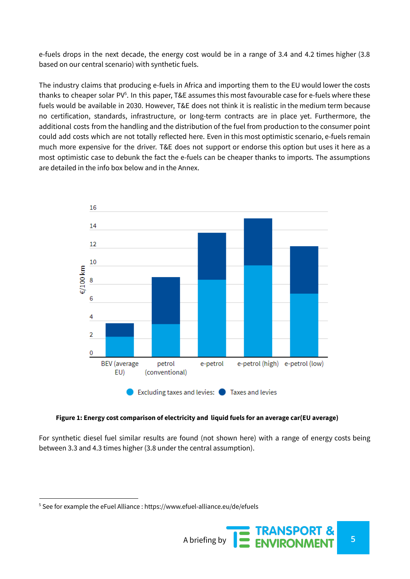e-fuels drops in the next decade, the energy cost would be in a range of 3.4 and 4.2 times higher (3.8 based on our central scenario) with synthetic fuels.

The industry claims that producing e-fuels in Africa and importing them to the EU would lower the costs thanks to cheaper solar PV<sup>5</sup>. In this paper, T&E assumes this most favourable case for e-fuels where these fuels would be available in 2030. However, T&E does not think it is realistic in the medium term because no certification, standards, infrastructure, or long-term contracts are in place yet. Furthermore, the additional costs from the handling and the distribution of the fuel from production to the consumer point could add costs which are not totally reflected here. Even in this most optimistic scenario, e-fuels remain much more expensive for the driver. T&E does not support or endorse this option but uses it here as a most optimistic case to debunk the fact the e-fuels can be cheaper thanks to imports. The assumptions are detailed in the info box below and in the Annex.



#### **Figure 1: Energy cost comparison of electricity and liquid fuels for an average car(EU average)**

For synthetic diesel fuel similar results are found (not shown here) with a range of energy costs being between 3.3 and 4.3 times higher (3.8 under the central assumption).

<sup>5</sup> See for example the eFuel Alliance : https://www.efuel-alliance.eu/de/efuels

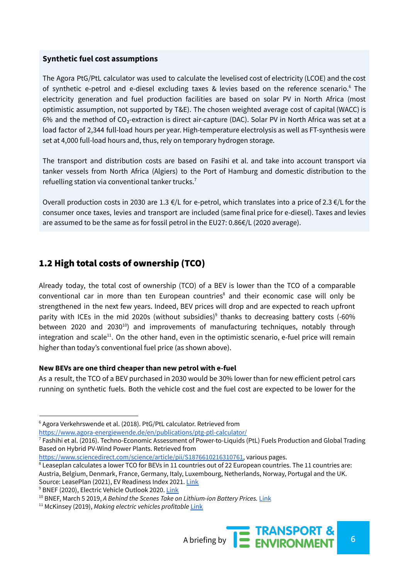#### **Synthetic fuel cost assumptions**

The Agora PtG/PtL calculator was used to calculate the levelised cost of electricity (LCOE) and the cost of synthetic e-petrol and e-diesel excluding taxes & levies based on the reference scenario.<sup>6</sup> The electricity generation and fuel production facilities are based on solar PV in North Africa (most optimistic assumption, not supported by T&E). The chosen weighted average cost of capital (WACC) is 6% and the method of CO₂-extraction is direct air-capture (DAC). Solar PV in North Africa was set at a load factor of 2,344 full-load hours per year. High-temperature electrolysis as well as FT-synthesis were set at 4,000 full-load hours and, thus, rely on temporary hydrogen storage.

The transport and distribution costs are based on Fasihi et al. and take into account transport via tanker vessels from North Africa (Algiers) to the Port of Hamburg and domestic distribution to the refuelling station via conventional tanker trucks.<sup>7</sup>

Overall production costs in 2030 are 1.3 €/L for e-petrol, which translates into a price of 2.3 €/L for the consumer once taxes, levies and transport are included (same final price for e-diesel). Taxes and levies are assumed to be the same as for fossil petrol in the EU27: 0.86€/L (2020 average).

## 1.2 High total costs of ownership (TCO)

Already today, the total cost of ownership (TCO) of a BEV is lower than the TCO of a comparable conventional car in more than ten European countries<sup>8</sup> and their economic case will only be strengthened in the next few years. Indeed, BEV prices will drop and are expected to reach upfront parity with ICEs in the mid 2020s (without subsidies)<sup>9</sup> thanks to decreasing battery costs (-60% between 2020 and 2030 $^{10}$ ) and improvements of manufacturing techniques, notably through integration and scale<sup>11</sup>. On the other hand, even in the optimistic scenario, e-fuel price will remain higher than today's conventional fuel price (as shown above).

#### **New BEVs are one third cheaper than new petrol with e-fuel**

As a result, the TCO of a BEV purchased in 2030 would be 30% lower than for new efficient petrol cars running on synthetic fuels. Both the vehicle cost and the fuel cost are expected to be lower for the

<https://www.agora-energiewende.de/en/publications/ptg-ptl-calculator/>

<sup>&</sup>lt;sup>6</sup> Agora Verkehrswende et al. (2018). PtG/PtL calculator. Retrieved from

 $^7$  Fashihi et al. (2016). Techno-Economic Assessment of Power-to-Liquids (PtL) Fuels Production and Global Trading Based on Hybrid PV-Wind Power Plants. Retrieved from

[https://www.sciencedirect.com/science/article/pii/S1876610216310761,](https://www.sciencedirect.com/science/article/pii/S1876610216310761) various pages.

<sup>&</sup>lt;sup>8</sup> Leaseplan calculates a lower TCO for BEVs in 11 countries out of 22 European countries. The 11 countries are: Austria, Belgium, Denmark, France, Germany, Italy, Luxembourg, Netherlands, Norway, Portugal and the UK. Source: LeasePlan (2021), EV Readiness Index 2021. [Link](https://www.leaseplan.com/en-cz/blog/ev-readiness-index-2021/)

<sup>&</sup>lt;sup>9</sup> BNEF (2020), Electric Vehicle Outlook 2020. [Link](https://about.bnef.com/electric-vehicle-outlook/)

<sup>10</sup> BNEF, March 5 2019, *A Behind the Scenes Take on Lithium-ion Battery Prices.* [Link](https://about.bnef.com/blog/behind-scenes-take-lithium-ion-battery-prices/)

<sup>11</sup> McKinsey (2019), *Making electric vehicles profitable* [Link](https://www.mckinsey.com/industries/automotive-and-assembly/our-insights/making-electric-vehicles-profitable)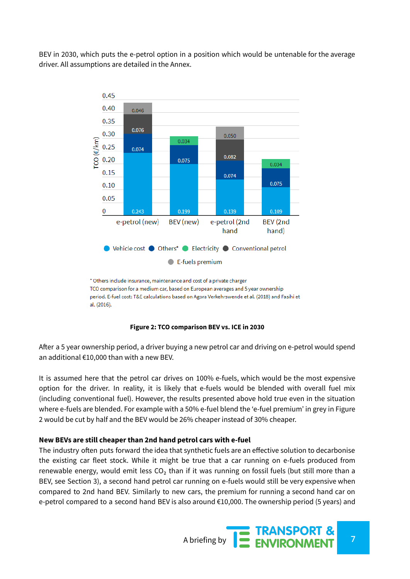BEV in 2030, which puts the e-petrol option in a position which would be untenable for the average driver. All assumptions are detailed in the Annex.



\* Others include insurance, maintenance and cost of a private charger TCO comparison for a medium car, based on European averages and 5 year ownership period. E-fuel cost: T&E calculations based on Agora Verkehrswende et al. (2018) and Fasihi et al. (2016).

#### **Figure 2: TCO comparison BEV vs. ICE in 2030**

After a 5 year ownership period, a driver buying a new petrol car and driving on e-petrol would spend an additional €10,000 than with a new BEV.

It is assumed here that the petrol car drives on 100% e-fuels, which would be the most expensive option for the driver. In reality, it is likely that e-fuels would be blended with overall fuel mix (including conventional fuel). However, the results presented above hold true even in the situation where e-fuels are blended. For example with a 50% e-fuel blend the 'e-fuel premium' in grey in Figure 2 would be cut by half and the BEV would be 26% cheaper instead of 30% cheaper.

#### **New BEVs are still cheaper than 2nd hand petrol cars with e-fuel**

The industry often puts forward the idea that synthetic fuels are an effective solution to decarbonise the existing car fleet stock. While it might be true that a car running on e-fuels produced from renewable energy, would emit less CO<sub>2</sub> than if it was running on fossil fuels (but still more than a BEV, see Section 3), a second hand petrol car running on e-fuels would still be very expensive when compared to 2nd hand BEV. Similarly to new cars, the premium for running a second hand car on e-petrol compared to a second hand BEV is also around  $€10,000$ . The ownership period (5 years) and

A briefing by **7 ENVIRONMENT**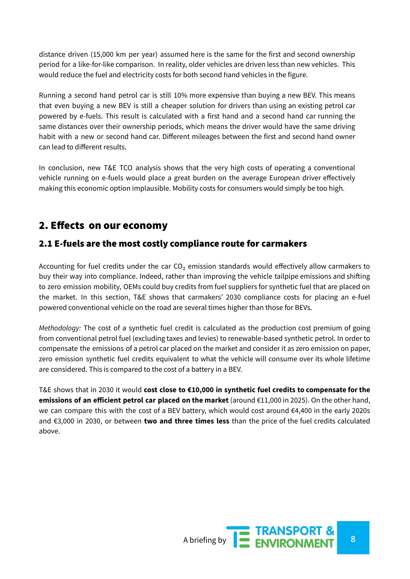distance driven (15,000 km per year) assumed here is the same for the first and second ownership period for a like-for-like comparison. In reality, older vehicles are driven less than new vehicles. This would reduce the fuel and electricity costs for both second hand vehicles in the figure.

Running a second hand petrol car is still 10% more expensive than buying a new BEV. This means that even buying a new BEV is still a cheaper solution for drivers than using an existing petrol car powered by e-fuels. This result is calculated with a first hand and a second hand car running the same distances over their ownership periods, which means the driver would have the same driving habit with a new or second hand car. Different mileages between the first and second hand owner can lead to different results.

In conclusion, new T&E TCO analysis shows that the very high costs of operating a conventional vehicle running on e-fuels would place a great burden on the average European driver effectively making this economic option implausible. Mobility costs for consumers would simply be too high.

## 2. Effects on our economy

## 2.1 E-fuels are the most costly compliance route for carmakers

Accounting for fuel credits under the car  $CO<sub>2</sub>$  emission standards would effectively allow carmakers to buy their way into compliance. Indeed, rather than improving the vehicle tailpipe emissions and shifting to zero emission mobility, OEMs could buy credits from fuel suppliers for synthetic fuel that are placed on the market. In this section, T&E shows that carmakers' 2030 compliance costs for placing an e-fuel powered conventional vehicle on the road are several times higher than those for BEVs.

*Methodology:* The cost of a synthetic fuel credit is calculated as the production cost premium of going from conventional petrol fuel (excluding taxes and levies) to renewable-based synthetic petrol. In order to compensate the emissions of a petrol car placed on the market and consider it as zero emission on paper, zero emission synthetic fuel credits equivalent to what the vehicle will consume over its whole lifetime are considered. This is compared to the cost of a battery in a BEV.

T&E shows that in 2030 it would **cost close to €10,000 in synthetic fuel credits to compensate for the emissions of an efficient petrol car placed on the market** (around €11,000 in 2025). On the other hand, we can compare this with the cost of a BEV battery, which would cost around €4,400 in the early 2020s and €3,000 in 2030, or between **two and three times less** than the price of the fuel credits calculated above.

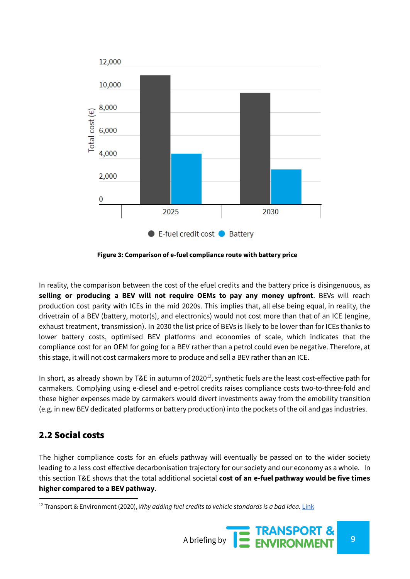

**Figure 3: Comparison of e-fuel compliance route with battery price**

In reality, the comparison between the cost of the efuel credits and the battery price is disingenuous, as **selling or producing a BEV will not require OEMs to pay any money upfront**. BEVs will reach production cost parity with ICEs in the mid 2020s. This implies that, all else being equal, in reality, the drivetrain of a BEV (battery, motor(s), and electronics) would not cost more than that of an ICE (engine, exhaust treatment, transmission). In 2030 the list price of BEVs is likely to be lower than for ICEs thanks to lower battery costs, optimised BEV platforms and economies of scale, which indicates that the compliance cost for an OEM for going for a BEV rather than a petrol could even be negative. Therefore, at this stage, it will not cost carmakers more to produce and sell a BEV rather than an ICE.

In short, as already shown by T&E in autumn of 2020<sup>12</sup>, synthetic fuels are the least cost-effective path for carmakers. Complying using e-diesel and e-petrol credits raises compliance costs two-to-three-fold and these higher expenses made by carmakers would divert investments away from the emobility transition (e.g. in new BEV dedicated platforms or battery production) into the pockets of the oil and gas industries.

## 2.2 Social costs

The higher compliance costs for an efuels pathway will eventually be passed on to the wider society leading to a less cost effective decarbonisation trajectory for our society and our economy as a whole. In this section T&E shows that the total additional societal **cost of an e-fuel pathway would be five times higher compared to a BEV pathway**.

<sup>12</sup> Transport & Environment (2020), *Why adding fuel credits to vehicle standards is a bad idea.* [Link](https://www.transportenvironment.org/publications/why-adding-fuel-credits-vehicle-standards-bad-idea)

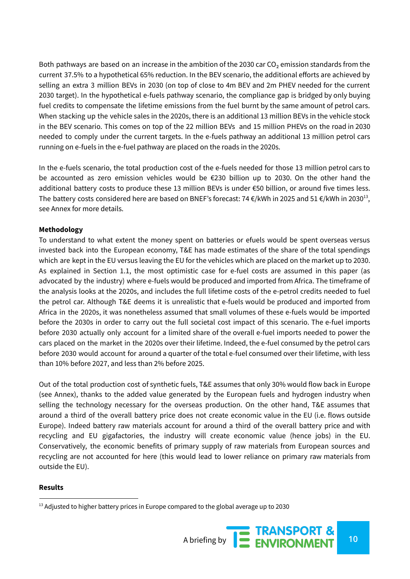Both pathways are based on an increase in the ambition of the 2030 car  $CO<sub>2</sub>$  emission standards from the current 37.5% to a hypothetical 65% reduction. In the BEV scenario, the additional efforts are achieved by selling an extra 3 million BEVs in 2030 (on top of close to 4m BEV and 2m PHEV needed for the current 2030 target). In the hypothetical e-fuels pathway scenario, the compliance gap is bridged by only buying fuel credits to compensate the lifetime emissions from the fuel burnt by the same amount of petrol cars. When stacking up the vehicle sales in the 2020s, there is an additional 13 million BEVs in the vehicle stock in the BEV scenario. This comes on top of the 22 million BEVs and 15 million PHEVs on the road in 2030 needed to comply under the current targets. In the e-fuels pathway an additional 13 million petrol cars running on e-fuels in the e-fuel pathway are placed on the roads in the 2020s.

In the e-fuels scenario, the total production cost of the e-fuels needed for those 13 million petrol cars to be accounted as zero emission vehicles would be €230 billion up to 2030. On the other hand the additional battery costs to produce these 13 million BEVs is under €50 billion, or around five times less. The battery costs considered here are based on BNEF's forecast: 74  $\epsilon$ /kWh in 2025 and 51  $\epsilon$ /kWh in 2030<sup>13</sup>, see Annex for more details.

#### **Methodology**

To understand to what extent the money spent on batteries or efuels would be spent overseas versus invested back into the European economy, T&E has made estimates of the share of the total spendings which are kept in the EU versus leaving the EU for the vehicles which are placed on the market up to 2030. As explained in Section 1.1, the most optimistic case for e-fuel costs are assumed in this paper (as advocated by the industry) where e-fuels would be produced and imported from Africa. The timeframe of the analysis looks at the 2020s, and includes the full lifetime costs of the e-petrol credits needed to fuel the petrol car. Although T&E deems it is unrealistic that e-fuels would be produced and imported from Africa in the 2020s, it was nonetheless assumed that small volumes of these e-fuels would be imported before the 2030s in order to carry out the full societal cost impact of this scenario. The e-fuel imports before 2030 actually only account for a limited share of the overall e-fuel imports needed to power the cars placed on the market in the 2020s over their lifetime. Indeed, the e-fuel consumed by the petrol cars before 2030 would account for around a quarter of the total e-fuel consumed over their lifetime, with less than 10% before 2027, and less than 2% before 2025.

Out of the total production cost of synthetic fuels, T&E assumes that only 30% would flow back in Europe (see Annex), thanks to the added value generated by the European fuels and hydrogen industry when selling the technology necessary for the overseas production. On the other hand, T&E assumes that around a third of the overall battery price does not create economic value in the EU (i.e. flows outside Europe). Indeed battery raw materials account for around a third of the overall battery price and with recycling and EU gigafactories, the industry will create economic value (hence jobs) in the EU. Conservatively, the economic benefits of primary supply of raw materials from European sources and recycling are not accounted for here (this would lead to lower reliance on primary raw materials from outside the EU).

#### **Results**

 $13$  Adjusted to higher battery prices in Europe compared to the global average up to 2030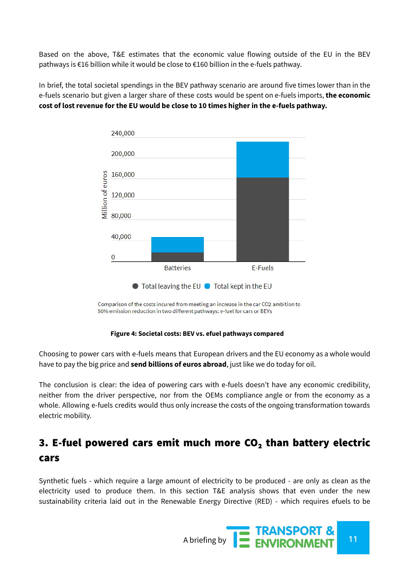Based on the above, T&E estimates that the economic value flowing outside of the EU in the BEV pathways is €16 billion while it would be close to €160 billion in the e-fuels pathway.

In brief, the total societal spendings in the BEV pathway scenario are around five times lower than in the e-fuels scenario but given a larger share of these costs would be spent on e-fuels imports, **the economic cost of lost revenue for the EU would be close to 10 times higher in the e-fuels pathway.**



Comparison of the costs incured from meeting an increase in the car CO2 ambition to 50% emission reduction in two different pathways: e-fuel for cars or BEVs

#### **Figure 4: Societal costs: BEV vs. efuel pathways compared**

Choosing to power cars with e-fuels means that European drivers and the EU economy as a whole would have to pay the big price and **send billions of euros abroad**, just like we do today for oil.

The conclusion is clear: the idea of powering cars with e-fuels doesn't have any economic credibility, neither from the driver perspective, nor from the OEMs compliance angle or from the economy as a whole. Allowing e-fuels credits would thus only increase the costs of the ongoing transformation towards electric mobility.

# 3. E-fuel powered cars emit much more  $CO<sub>2</sub>$  than battery electric cars

Synthetic fuels - which require a large amount of electricity to be produced - are only as clean as the electricity used to produce them. In this section T&E analysis shows that even under the new sustainability criteria laid out in the Renewable Energy Directive (RED) - which requires efuels to be

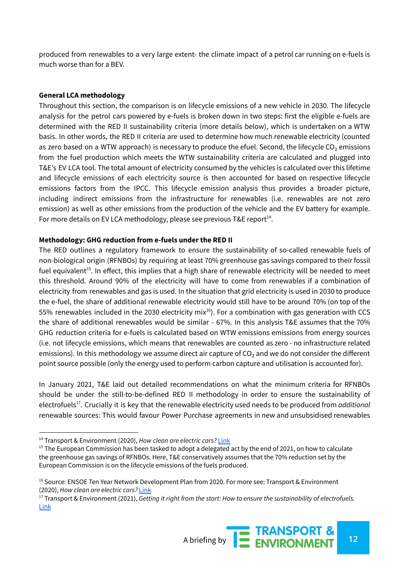produced from renewables to a very large extent- the climate impact of a petrol car running on e-fuels is much worse than for a BEV.

#### **General LCA methodology**

Throughout this section, the comparison is on lifecycle emissions of a new vehicle in 2030. The lifecycle analysis for the petrol cars powered by e-fuels is broken down in two steps: first the eligible e-fuels are determined with the RED II sustainability criteria (more details below), which is undertaken on a WTW basis. In other words, the RED II criteria are used to determine how much renewable electricity (counted as zero based on a WTW approach) is necessary to produce the efuel. Second, the lifecycle CO<sub>2</sub> emissions from the fuel production which meets the WTW sustainability criteria are calculated and plugged into T&E's EV LCA tool. The total amount of electricity consumed by the vehicles is calculated over this lifetime and lifecycle emissions of each electricity source is then accounted for based on respective lifecycle emissions factors from the IPCC. This lifecycle emission analysis thus provides a broader picture, including indirect emissions from the infrastructure for renewables (i.e. renewables are not zero emission) as well as other emissions from the production of the vehicle and the EV battery for example. For more details on EV LCA methodology, please see previous T&E report $^{14}$ .

#### **Methodology: GHG reduction from e-fuels under the RED II**

The RED outlines a regulatory framework to ensure the sustainability of so-called renewable fuels of non-biological origin (RFNBOs) by requiring at least 70% greenhouse gas savings compared to their fossil fuel equivalent<sup>15</sup>. In effect, this implies that a high share of renewable electricity will be needed to meet this threshold. Around 90% of the electricity will have to come from renewables if a combination of electricity from renewables and gas is used. In the situation that grid electricity is used in 2030 to produce the e-fuel, the share of additional renewable electricity would still have to be around 70% (on top of the 55% renewables included in the 2030 electricity mix $^{16}$ ). For a combination with gas generation with CCS the share of additional renewables would be similar - 67%. In this analysis T&E assumes that the 70% GHG reduction criteria for e-fuels is calculated based on WTW emissions emissions from energy sources (i.e. not lifecycle emissions, which means that renewables are counted as zero - no infrastructure related emissions). In this methodology we assume direct air capture of  $CO<sub>2</sub>$  and we do not consider the different point source possible (only the energy used to perform carbon capture and utilisation is accounted for).

In January 2021, T&E laid out detailed recommendations on what the minimum criteria for RFNBOs should be under the still-to-be-defined RED II methodology in order to ensure the sustainability of electrofuels<sup>17</sup>. Crucially it is key that the renewable electricity used needs to be produced from *additional* renewable sources: This would favour Power Purchase agreements in new and unsubsidised renewables

<sup>17</sup> Transport & Environment (2021), *Getting it right from the start: How to ensure the sustainability of electrofuels.* [Link](https://www.transportenvironment.org/sites/te/files/publications/T%26E%20Briefing%20sustainability%20RFNBOs_202101.pdf)



<sup>14</sup> Transport & Environment (2020), *How clean are electric cars?* [Link](https://www.transportenvironment.org/sites/te/files/downloads/T%26E%E2%80%99s%20EV%20life%20cycle%20analysis%20LCA_0.pdf)

<sup>&</sup>lt;sup>15</sup> The European Commission has been tasked to adopt a delegated act by the end of 2021, on how to calculate the greenhouse gas savings of RFNBOs. Here, T&E conservatively assumes that the 70% reduction set by the European Commission is on the lifecycle emissions of the fuels produced.

<sup>&</sup>lt;sup>16</sup> Source: ENSOE Ten Year Network Development Plan from 2020. For more see: Transport & Environment (2020), *How clean are electric cars?* [Link](https://www.transportenvironment.org/sites/te/files/downloads/T%26E%E2%80%99s%20EV%20life%20cycle%20analysis%20LCA_0.pdf)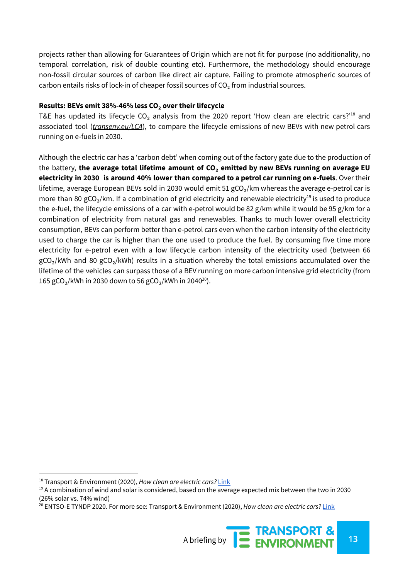projects rather than allowing for Guarantees of Origin which are not fit for purpose (no additionality, no temporal correlation, risk of double counting etc). Furthermore, the methodology should encourage non-fossil circular sources of carbon like direct air capture. Failing to promote atmospheric sources of carbon entails risks of lock-in of cheaper fossil sources of  $CO<sub>2</sub>$  from industrial sources.

#### **Results: BEVs emit 38%-46% less CO₂ over their lifecycle**

T&E has updated its lifecycle CO<sub>2</sub> analysis from the 2020 report 'How clean are electric cars?'<sup>18</sup> and associated tool (*transenv.eu/LCA*), to compare the lifecycle emissions of new BEVs with new petrol cars running on e-fuels in 2030.

Although the electric car has a 'carbon debt' when coming out of the factory gate due to the production of the battery, **the average total lifetime amount of CO₂ emitted by new BEVs running on average EU electricity in 2030 is around 40% lower than compared to a petrol car running on e-fuels**. Over their lifetime, average European BEVs sold in 2030 would emit 51 gCO<sub>2</sub>/km whereas the average e-petrol car is more than 80 gCO<sub>2</sub>/km. If a combination of grid electricity and renewable electricity<sup>19</sup> is used to produce the e-fuel, the lifecycle emissions of a car with e-petrol would be 82 g/km while it would be 95 g/km for a combination of electricity from natural gas and renewables. Thanks to much lower overall electricity consumption, BEVs can perform better than e-petrol cars even when the carbon intensity of the electricity used to charge the car is higher than the one used to produce the fuel. By consuming five time more electricity for e-petrol even with a low lifecycle carbon intensity of the electricity used (between 66  $gCO<sub>2</sub>/kWh$  and 80  $gCO<sub>2</sub>/kWh$ ) results in a situation whereby the total emissions accumulated over the lifetime of the vehicles can surpass those of a BEV running on more carbon intensive grid electricity (from 165 gCO<sub>2</sub>/kWh in 2030 down to 56 gCO<sub>2</sub>/kWh in 2040<sup>20</sup>).

<sup>20</sup> ENTSO-E TYNDP 2020. For more see: Transport & Environment (2020), *How clean are electric cars?* [Link](https://www.transportenvironment.org/sites/te/files/downloads/T%26E%E2%80%99s%20EV%20life%20cycle%20analysis%20LCA_0.pdf)



<sup>18</sup> Transport & Environment (2020), *How clean are electric cars?* [Link](https://www.transportenvironment.org/sites/te/files/downloads/T%26E%E2%80%99s%20EV%20life%20cycle%20analysis%20LCA_0.pdf)

 $19$  A combination of wind and solar is considered, based on the average expected mix between the two in 2030 (26% solar vs. 74% wind)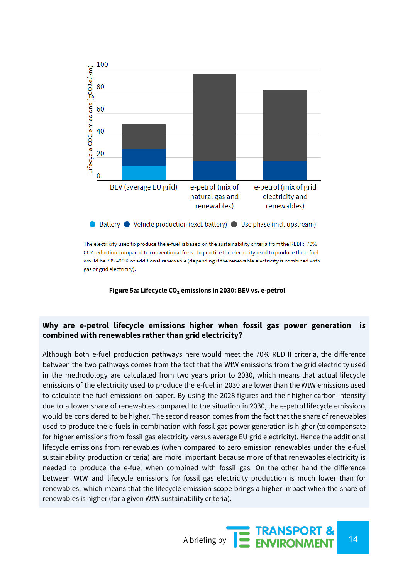

The electricity used to produce the e-fuel is based on the sustainability criteria from the REDII: 70% CO2 reduction compared to conventional fuels. In practice the electricity used to produce the e-fuel would be 70%-90% of additional renewable (depending if the renewable electricity is combined with gas or grid electricity).

**Figure 5a: Lifecycle CO₂ emissions in 2030: BEV vs. e-petrol**

#### **Why are e-petrol lifecycle emissions higher when fossil gas power generation is combined with renewables rather than grid electricity?**

Although both e-fuel production pathways here would meet the 70% RED II criteria, the difference between the two pathways comes from the fact that the WtW emissions from the grid electricity used in the methodology are calculated from two years prior to 2030, which means that actual lifecycle emissions of the electricity used to produce the e-fuel in 2030 are lower than the WtW emissions used to calculate the fuel emissions on paper. By using the 2028 figures and their higher carbon intensity due to a lower share of renewables compared to the situation in 2030, the e-petrol lifecycle emissions would be considered to be higher. The second reason comes from the fact that the share of renewables used to produce the e-fuels in combination with fossil gas power generation is higher (to compensate for higher emissions from fossil gas electricity versus average EU grid electricity). Hence the additional lifecycle emissions from renewables (when compared to zero emission renewables under the e-fuel sustainability production criteria) are more important because more of that renewables electricity is needed to produce the e-fuel when combined with fossil gas. On the other hand the difference between WtW and lifecycle emissions for fossil gas electricity production is much lower than for renewables, which means that the lifecycle emission scope brings a higher impact when the share of renewables is higher (for a given WtW sustainability criteria).

A briefing by **14**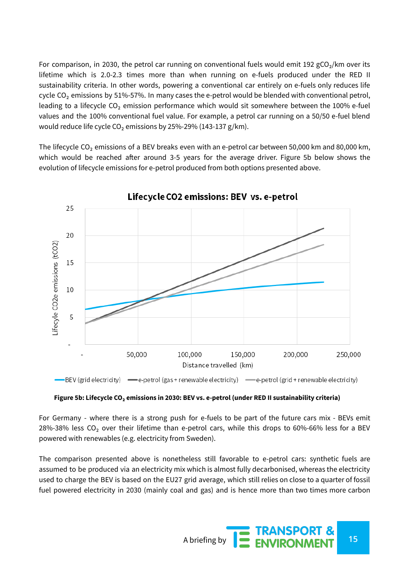For comparison, in 2030, the petrol car running on conventional fuels would emit 192 gCO<sub>2</sub>/km over its lifetime which is 2.0-2.3 times more than when running on e-fuels produced under the RED II sustainability criteria. In other words, powering a conventional car entirely on e-fuels only reduces life cycle CO<sub>2</sub> emissions by 51%-57%. In many cases the e-petrol would be blended with conventional petrol, leading to a lifecycle CO<sub>2</sub> emission performance which would sit somewhere between the 100% e-fuel values and the 100% conventional fuel value. For example, a petrol car running on a 50/50 e-fuel blend would reduce life cycle  $CO<sub>2</sub>$  emissions by 25%-29% (143-137 g/km).

The lifecycle CO<sub>2</sub> emissions of a BEV breaks even with an e-petrol car between 50,000 km and 80,000 km, which would be reached after around 3-5 years for the average driver. Figure 5b below shows the evolution of lifecycle emissions for e-petrol produced from both options presented above.



Lifecycle CO2 emissions: BEV vs. e-petrol

-BEV (grid electricity)  $\longrightarrow$ e-petrol (gas+renewable electricity)  $\longrightarrow$ e-petrol (grid+renewable electricity)

#### **Figure 5b: Lifecycle CO₂ emissions in 2030: BEV vs. e-petrol (under RED II sustainability criteria)**

For Germany - where there is a strong push for e-fuels to be part of the future cars mix - BEVs emit 28%-38% less  $CO<sub>2</sub>$  over their lifetime than e-petrol cars, while this drops to 60%-66% less for a BEV powered with renewables (e.g. electricity from Sweden).

The comparison presented above is nonetheless still favorable to e-petrol cars: synthetic fuels are assumed to be produced via an electricity mix which is almost fully decarbonised, whereas the electricity used to charge the BEV is based on the EU27 grid average, which still relies on close to a quarter of fossil fuel powered electricity in 2030 (mainly coal and gas) and is hence more than two times more carbon

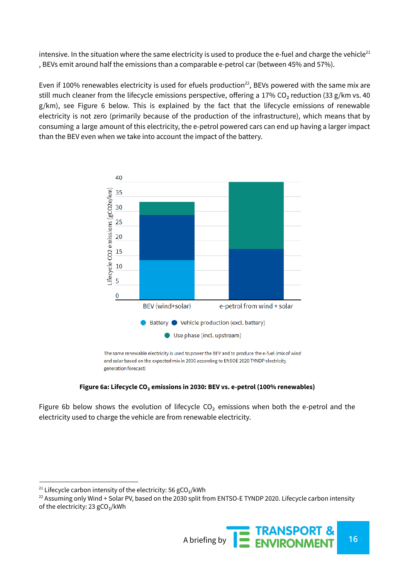intensive. In the situation where the same electricity is used to produce the e-fuel and charge the vehicle $^{21}$ , BEVs emit around half the emissions than a comparable e-petrol car (between 45% and 57%).

Even if 100% renewables electricity is used for efuels production $^{22}$ , BEVs powered with the same mix are still much cleaner from the lifecycle emissions perspective, offering a 17% CO<sub>2</sub> reduction (33 g/km vs. 40) g/km), see Figure 6 below. This is explained by the fact that the lifecycle emissions of renewable electricity is not zero (primarily because of the production of the infrastructure), which means that by consuming a large amount of this electricity, the e-petrol powered cars can end up having a larger impact than the BEV even when we take into account the impact of the battery.



#### **Figure 6a: Lifecycle CO₂ emissions in 2030: BEV vs. e-petrol (100% renewables)**

Figure 6b below shows the evolution of lifecycle  $CO<sub>2</sub>$  emissions when both the e-petrol and the electricity used to charge the vehicle are from renewable electricity.

 $22$  Assuming only Wind + Solar PV, based on the 2030 split from ENTSO-E TYNDP 2020. Lifecycle carbon intensity of the electricity: 23 gCO₂/kWh



<sup>&</sup>lt;sup>21</sup> Lifecycle carbon intensity of the electricity: 56  $gCO<sub>2</sub>/kWh$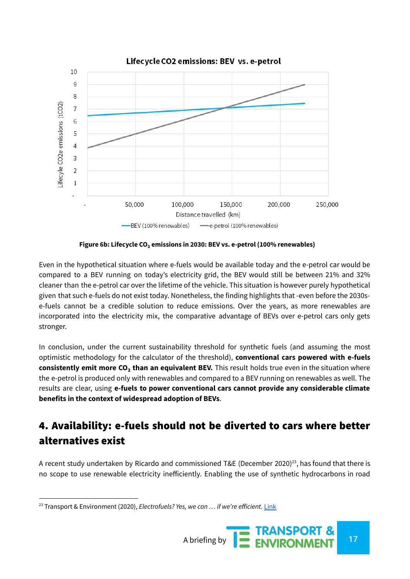

**Figure 6b: Lifecycle CO₂ emissions in 2030: BEV vs. e-petrol (100% renewables)**

Even in the hypothetical situation where e-fuels would be available today and the e-petrol car would be compared to a BEV running on today's electricity grid, the BEV would still be between 21% and 32% cleaner than the e-petrol car over the lifetime of the vehicle. This situation is however purely hypothetical given that such e-fuels do not exist today. Nonetheless, the finding highlights that -even before the 2030se-fuels cannot be a credible solution to reduce emissions. Over the years, as more renewables are incorporated into the electricity mix, the comparative advantage of BEVs over e-petrol cars only gets stronger.

In conclusion, under the current sustainability threshold for synthetic fuels (and assuming the most optimistic methodology for the calculator of the threshold), **conventional cars powered with e-fuels consistently emit more CO₂ than an equivalent BEV.** This result holds true even in the situation where the e-petrol is produced only with renewables and compared to a BEV running on renewables as well. The results are clear, using **e-fuels to power conventional cars cannot provide any considerable climate benefits in the context of widespread adoption of BEVs**.

# 4. Availability: e-fuels should not be diverted to cars where better alternatives exist

A recent study undertaken by Ricardo and commissioned T&E (December 2020)<sup>23</sup>, has found that there is no scope to use renewable electricity inefficiently. Enabling the use of synthetic hydrocarbons in road

<sup>23</sup> Transport & Environment (2020), *Electrofuels? Yes, we can … if we're efficient.* [Link](https://www.transportenvironment.org/publications/electrofuels-yes-we-can-%E2%80%A6-if-we%E2%80%99re-efficient)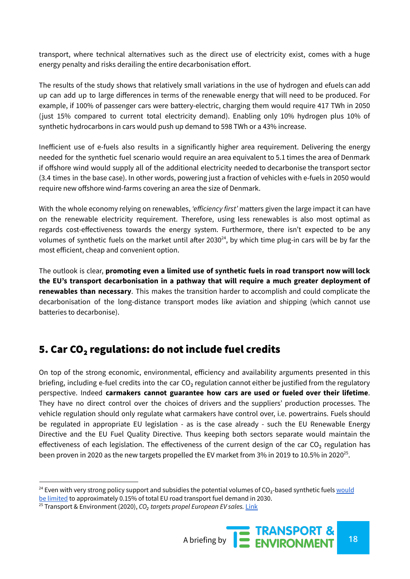transport, where technical alternatives such as the direct use of electricity exist, comes with a huge energy penalty and risks derailing the entire decarbonisation effort.

The results of the study shows that relatively small variations in the use of hydrogen and efuels can add up can add up to large differences in terms of the renewable energy that will need to be produced. For example, if 100% of passenger cars were battery-electric, charging them would require 417 TWh in 2050 (just 15% compared to current total electricity demand). Enabling only 10% hydrogen plus 10% of synthetic hydrocarbons in cars would push up demand to 598 TWh or a 43% increase.

Inefficient use of e-fuels also results in a significantly higher area requirement. Delivering the energy needed for the synthetic fuel scenario would require an area equivalent to 5.1 times the area of Denmark if offshore wind would supply all of the additional electricity needed to decarbonise the transport sector (3.4 times in the base case). In other words, powering just a fraction of vehicles with e-fuels in 2050 would require new offshore wind-farms covering an area the size of Denmark.

With the whole economy relying on renewables, *'efficiency first'* matters given the large impact it can have on the renewable electricity requirement. Therefore, using less renewables is also most optimal as regards cost-effectiveness towards the energy system. Furthermore, there isn't expected to be any volumes of synthetic fuels on the market until after 2030 $^{24}$ , by which time plug-in cars will be by far the most efficient, cheap and convenient option.

The outlook is clear, **promoting even a limited use of synthetic fuels in road transport now will lock the EU's transport decarbonisation in a pathway that will require a much greater deployment of renewables than necessary**. This makes the transition harder to accomplish and could complicate the decarbonisation of the long-distance transport modes like aviation and shipping (which cannot use batteries to decarbonise).

## 5. Car CO₂ regulations: do not include fuel credits

On top of the strong economic, environmental, efficiency and availability arguments presented in this briefing, including e-fuel credits into the car CO<sub>2</sub> regulation cannot either be justified from the regulatory perspective. Indeed **carmakers cannot guarantee how cars are used or fueled over their lifetime**. They have no direct control over the choices of drivers and the suppliers' production processes. The vehicle regulation should only regulate what carmakers have control over, i.e. powertrains. Fuels should be regulated in appropriate EU legislation - as is the case already - such the EU Renewable Energy Directive and the EU Fuel Quality Directive. Thus keeping both sectors separate would maintain the effectiveness of each legislation. The effectiveness of the current design of the car CO<sub>2</sub> regulation has been proven in 2020 as the new targets propelled the EV market from 3% in 2019 to 10.5% in 2020 $^{25}$ .

<sup>&</sup>lt;sup>24</sup> Even with very strong policy support and subsidies the potential volumes of  $CO<sub>2</sub>$ -based synthetic fuels [would](https://theicct.org/sites/default/files/publications/CO2-based-synthetic-fuel-EU-assessment_ICCT-consultant-report_14112017_vF_2.pdf) be [limited](https://theicct.org/sites/default/files/publications/CO2-based-synthetic-fuel-EU-assessment_ICCT-consultant-report_14112017_vF_2.pdf) to approximately 0.15% of total EU road transport fuel demand in 2030.

<sup>25</sup> Transport & Environment (2020), *CO₂ targets propel European EV sales.* [Link](https://www.transportenvironment.org/publications/co2-targets-propel-european-ev-sales)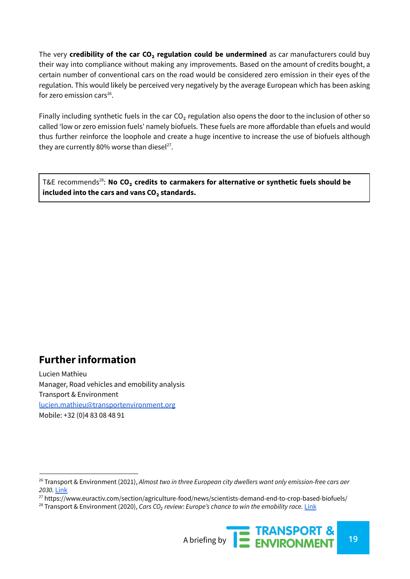The very **credibility of the car CO₂ regulation could be undermined** as car manufacturers could buy their way into compliance without making any improvements. Based on the amount of credits bought, a certain number of conventional cars on the road would be considered zero emission in their eyes of the regulation. This would likely be perceived very negatively by the average European which has been asking for zero emission cars $26$ .

Finally including synthetic fuels in the car  $CO<sub>2</sub>$  regulation also opens the door to the inclusion of other so called 'low or zero emission fuels' namely biofuels. These fuels are more affordable than efuels and would thus further reinforce the loophole and create a huge incentive to increase the use of biofuels although they are currently 80% [worse](https://www.euractiv.com/section/agriculture-food/news/scientists-demand-end-to-crop-based-biofuels/) than diesel<sup>27</sup>.

**7&E** recommends<sup>28</sup>: No CO<sub>2</sub> credits to carmakers for alternative or synthetic fuels should be **included into the cars and vans CO₂ standards.**

## **Further information**

Lucien Mathieu Manager, Road vehicles and emobility analysis Transport & Environment lucien.mathieu[@transportenvironment.org](mailto:email@transportenvironment.org) Mobile: +32 (0)4 83 08 48 91

<sup>28</sup> Transport & Environment (2020), *Cars CO₂ review: Europe's chance to win the emobility race.* [Link](https://www.transportenvironment.org/publications/car-co2-review-europe%E2%80%99s-chance-win-e-mobility-race)



<sup>26</sup> Transport & Environment (2021), *Almost two in three European city dwellers want only emission-free cars aer 2030.* [Link](https://www.transportenvironment.org/sites/te/files/publications/2021_04_Briefing_emission_free_cars_city_survey_2021_final.pdf)

<sup>&</sup>lt;sup>27</sup> https://www.euractiv.com/section/agriculture-food/news/scientists-demand-end-to-crop-based-biofuels/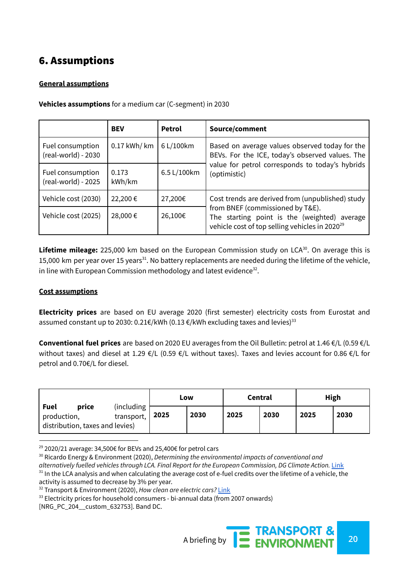# 6. Assumptions

#### **General assumptions**

|                                         | <b>BEV</b>      | Petrol      | Source/comment                                                                                                                                 |
|-----------------------------------------|-----------------|-------------|------------------------------------------------------------------------------------------------------------------------------------------------|
| Fuel consumption<br>(real-world) - 2030 | $0.17$ kWh/ km  | 6 L/100km   | Based on average values observed today for the<br>BEVs. For the ICE, today's observed values. The                                              |
| Fuel consumption<br>(real-world) - 2025 | 0.173<br>kWh/km | 6.5 L/100km | value for petrol corresponds to today's hybrids<br>(optimistic)                                                                                |
| Vehicle cost (2030)                     | 22,200€         | 27,200€     | Cost trends are derived from (unpublished) study                                                                                               |
| Vehicle cost (2025)                     | 28,000€         | 26,100€     | from BNEF (commissioned by T&E).<br>The starting point is the (weighted) average<br>vehicle cost of top selling vehicles in 2020 <sup>29</sup> |

**Vehicles assumptions** for a medium car (C-segment) in 2030

Lifetime mileage: 225,000 km based on the European Commission study on LCA<sup>30</sup>. On average this is 15,000 km per year over 15 years<sup>31</sup>. No battery replacements are needed during the lifetime of the vehicle, in line with European Commission methodology and latest evidence $^{32}$ .

#### **Cost assumptions**

**Electricity prices** are based on EU average 2020 (first semester) electricity costs from Eurostat and assumed constant up to 2030: 0.21€/kWh (0.13 €/kWh excluding taxes and levies) $^{33}$ 

**Conventional fuel prices** are based on 2020 EU averages from the Oil Bulletin: petrol at 1.46 €/L (0.59 €/L without taxes) and diesel at 1.29 €/L (0.59 €/L without taxes). Taxes and levies account for 0.86 €/L for petrol and 0.70€/L for diesel.

|                                                                 |                          | Low  |      | Central |      | <b>High</b> |      |
|-----------------------------------------------------------------|--------------------------|------|------|---------|------|-------------|------|
| Fuel<br>price<br>production,<br>distribution, taxes and levies) | (including<br>transport, | 2025 | 2030 | 2025    | 2030 | 2025        | 2030 |

<sup>&</sup>lt;sup>29</sup> 2020/21 average: 34,500€ for BEVs and 25,400€ for petrol cars

A briefing by **20**<br>A briefing by **20**<br>**20** 

 $31$  In the LCA analysis and when calculating the average cost of e-fuel credits over the lifetime of a vehicle, the activity is assumed to decrease by 3% per year. <sup>30</sup> Ricardo Energy & Environment (2020), *Determining the environmental impacts of conventional and alternatively fuelled vehicles through LCA. Final Report for the European Commission, DG Climate Action.* [Link](https://ec.europa.eu/clima/sites/default/files/transport/vehicles/docs/2020_study_main_report_en.pdf)

<sup>32</sup> Transport & Environment (2020), *How clean are electric cars?* [Link](https://www.transportenvironment.org/sites/te/files/downloads/T%26E%E2%80%99s%20EV%20life%20cycle%20analysis%20LCA_0.pdf)

<sup>&</sup>lt;sup>33</sup> Electricity prices for household consumers - bi-annual data (from 2007 onwards)

<sup>[</sup>NRG\_PC\_204\_\_custom\_632753]. Band DC.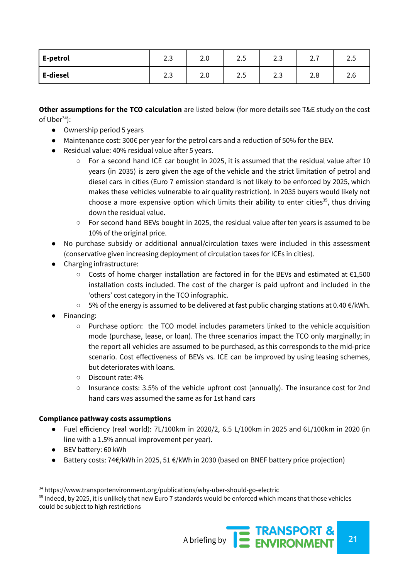| E-petrol | $\sim$<br>$\overline{\phantom{a}}$<br>ن ک | ∽<br>z.u | -<br>$\overline{\phantom{a}}$<br>ر . | ∽<br>$\overline{\phantom{0}}$<br>د.ء | $\overline{\phantom{0}}$<br><u>.</u> | $\cap$ $\cap$<br>ر . |
|----------|-------------------------------------------|----------|--------------------------------------|--------------------------------------|--------------------------------------|----------------------|
| E-diesel | $\overline{\phantom{a}}$<br>⌒<br>ن.ء      | -<br>z.v | -<br>∽<br>ر .                        | ∽<br>$\overline{\phantom{0}}$<br>ں ے | റ റ<br>z.o                           | 2.6                  |

**Other assumptions for the TCO calculation** are listed below (for more details see T&E study on the cost of  $Uber<sup>34</sup>$ :

- Ownership period 5 years
- $\bullet$  Maintenance cost: 300€ per year for the petrol cars and a reduction of 50% for the BEV.
- Residual value: 40% residual value after 5 years.
	- $\circ$  For a second hand ICE car bought in 2025, it is assumed that the residual value after 10 years (in 2035) is zero given the age of the vehicle and the strict limitation of petrol and diesel cars in cities (Euro 7 emission standard is not likely to be enforced by 2025, which makes these vehicles vulnerable to air quality restriction). In 2035 buyers would likely not choose a more expensive option which limits their ability to enter cities<sup>35</sup>, thus driving down the residual value.
	- For second hand BEVs bought in 2025, the residual value after ten years is assumed to be 10% of the original price.
- No purchase subsidy or additional annual/circulation taxes were included in this assessment (conservative given increasing deployment of circulation taxes for ICEs in cities).
- Charging infrastructure:
	- Costs of home charger installation are factored in for the BEVs and estimated at €1,500 installation costs included. The cost of the charger is paid upfront and included in the 'others' cost category in the TCO infographic.
	- 5% of the energy is assumed to be delivered at fast public charging stations at 0.40 €/kWh.
- Financing:
	- $\circ$  Purchase option: the TCO model includes parameters linked to the vehicle acquisition mode (purchase, lease, or loan). The three scenarios impact the TCO only marginally; in the report all vehicles are assumed to be purchased, as this corresponds to the mid-price scenario. Cost effectiveness of BEVs vs. ICE can be improved by using leasing schemes, but deteriorates with loans.
	- Discount rate: 4%
	- Insurance costs: 3.5% of the vehicle upfront cost (annually). The insurance cost for 2nd hand cars was assumed the same as for 1st hand cars

#### **Compliance pathway costs assumptions**

- Fuel efficiency (real world): 7L/100km in 2020/2, 6.5 L/100km in 2025 and 6L/100km in 2020 (in line with a 1.5% annual improvement per year).
- BEV battery: 60 kWh
- Battery costs: 74€/kWh in 2025, 51 €/kWh in 2030 (based on BNEF battery price projection)

<sup>&</sup>lt;sup>34</sup> https://www.transportenvironment.org/publications/why-uber-should-go-electric

 $35$  Indeed, by 2025, it is unlikely that new Euro 7 standards would be enforced which means that those vehicles could be subject to high restrictions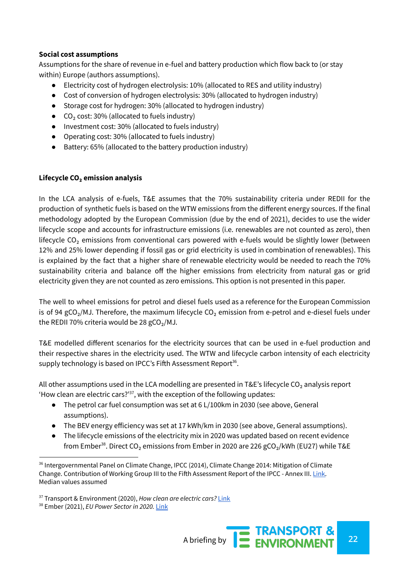#### **Social cost assumptions**

Assumptions for the share of revenue in e-fuel and battery production which flow back to (or stay within) Europe (authors assumptions).

- Electricity cost of hydrogen electrolysis: 10% (allocated to RES and utility industry)
- Cost of conversion of hydrogen electrolysis: 30% (allocated to hydrogen industry)
- Storage cost for hydrogen: 30% (allocated to hydrogen industry)
- $\bullet$  CO<sub>2</sub> cost: 30% (allocated to fuels industry)
- Investment cost: 30% (allocated to fuels industry)
- Operating cost: 30% (allocated to fuels industry)
- Battery: 65% (allocated to the battery production industry)

#### **Lifecycle CO₂ emission analysis**

In the LCA analysis of e-fuels, T&E assumes that the 70% sustainability criteria under REDII for the production of synthetic fuels is based on the WTW emissions from the different energy sources. If the final methodology adopted by the European Commission (due by the end of 2021), decides to use the wider lifecycle scope and accounts for infrastructure emissions (i.e. renewables are not counted as zero), then lifecycle CO<sub>2</sub> emissions from conventional cars powered with e-fuels would be slightly lower (between 12% and 25% lower depending if fossil gas or grid electricity is used in combination of renewables). This is explained by the fact that a higher share of renewable electricity would be needed to reach the 70% sustainability criteria and balance off the higher emissions from electricity from natural gas or grid electricity given they are not counted as zero emissions. This option is not presented in this paper.

The well to wheel emissions for petrol and diesel fuels used as a reference for the European Commission is of 94 gCO<sub>2</sub>/MJ. Therefore, the maximum lifecycle CO<sub>2</sub> emission from e-petrol and e-diesel fuels under the REDII 70% criteria would be 28 gCO<sub>2</sub>/MJ.

T&E modelled different scenarios for the electricity sources that can be used in e-fuel production and their respective shares in the electricity used. The WTW and lifecycle carbon intensity of each electricity supply technology is based on IPCC's Fifth Assessment Report $36$ .

All other assumptions used in the LCA modelling are presented in T&E's lifecycle CO<sub>2</sub> analysis report 'How clean are electric cars?' $37$ , with the exception of the following updates:

- The petrol car fuel consumption was set at 6 L/100km in 2030 (see above, General assumptions).
- The BEV energy efficiency was set at 17 kWh/km in 2030 (see above, General assumptions).
- The lifecycle emissions of the electricity mix in 2020 was updated based on recent evidence from Ember $^{38}$ . Direct CO<sub>2</sub> emissions from Ember in 2020 are 226 gCO<sub>2</sub>/kWh (EU27) while T&E

<sup>37</sup> Transport & Environment (2020), *How clean are electric cars?* [Link](https://www.transportenvironment.org/sites/te/files/downloads/T%26E%E2%80%99s%20EV%20life%20cycle%20analysis%20LCA_0.pdf)

A briefing by **22 ENVIRONMENT** 

<sup>&</sup>lt;sup>36</sup> Intergovernmental Panel on Climate Change, IPCC (2014), Climate Change 2014: Mitigation of Climate Change. Contribution of Working Group III to the Fifth Assessment Report of the IPCC - Annex III. [Link.](https://www.ipcc.ch/site/assets/uploads/2018/02/ipcc_wg3_ar5_annex-iii.pdf#page=7) Median values assumed

<sup>38</sup> Ember (2021), *EU Power Sector in 2020.* [Link](https://ember-climate.org/project/eu-power-sector-2020/)